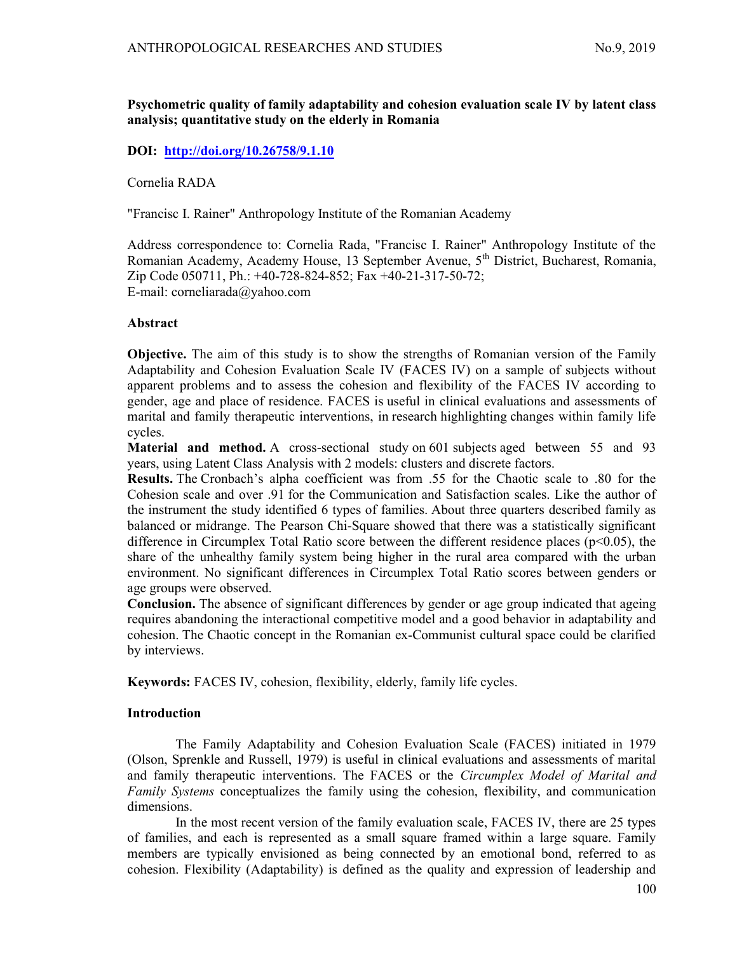# Psychometric quality of family adaptability and cohesion evaluation scale IV by latent class analysis; quantitative study on the elderly in Romania

# DOI: http://doi.org/10.26758/9.1.10

### Cornelia RADA

"Francisc I. Rainer" Anthropology Institute of the Romanian Academy

Address correspondence to: Cornelia Rada, "Francisc I. Rainer" Anthropology Institute of the Romanian Academy, Academy House, 13 September Avenue, 5<sup>th</sup> District, Bucharest, Romania, Zip Code 050711, Ph.: +40-728-824-852; Fax +40-21-317-50-72; E-mail: corneliarada@yahoo.com

## Abstract

Objective. The aim of this study is to show the strengths of Romanian version of the Family Adaptability and Cohesion Evaluation Scale IV (FACES IV) on a sample of subjects without apparent problems and to assess the cohesion and flexibility of the FACES IV according to gender, age and place of residence. FACES is useful in clinical evaluations and assessments of marital and family therapeutic interventions, in research highlighting changes within family life cycles.

Material and method. A cross-sectional study on 601 subjects aged between 55 and 93 years, using Latent Class Analysis with 2 models: clusters and discrete factors.

Results. The Cronbach's alpha coefficient was from .55 for the Chaotic scale to .80 for the Cohesion scale and over .91 for the Communication and Satisfaction scales. Like the author of the instrument the study identified 6 types of families. About three quarters described family as balanced or midrange. The Pearson Chi-Square showed that there was a statistically significant difference in Circumplex Total Ratio score between the different residence places ( $p<0.05$ ), the share of the unhealthy family system being higher in the rural area compared with the urban environment. No significant differences in Circumplex Total Ratio scores between genders or age groups were observed.

Conclusion. The absence of significant differences by gender or age group indicated that ageing requires abandoning the interactional competitive model and a good behavior in adaptability and cohesion. The Chaotic concept in the Romanian ex-Communist cultural space could be clarified by interviews.

Keywords: FACES IV, cohesion, flexibility, elderly, family life cycles.

## Introduction

The Family Adaptability and Cohesion Evaluation Scale (FACES) initiated in 1979 (Olson, Sprenkle and Russell, 1979) is useful in clinical evaluations and assessments of marital and family therapeutic interventions. The FACES or the *Circumplex Model of Marital and* Family Systems conceptualizes the family using the cohesion, flexibility, and communication dimensions.

In the most recent version of the family evaluation scale, FACES IV, there are 25 types of families, and each is represented as a small square framed within a large square. Family members are typically envisioned as being connected by an emotional bond, referred to as cohesion. Flexibility (Adaptability) is defined as the quality and expression of leadership and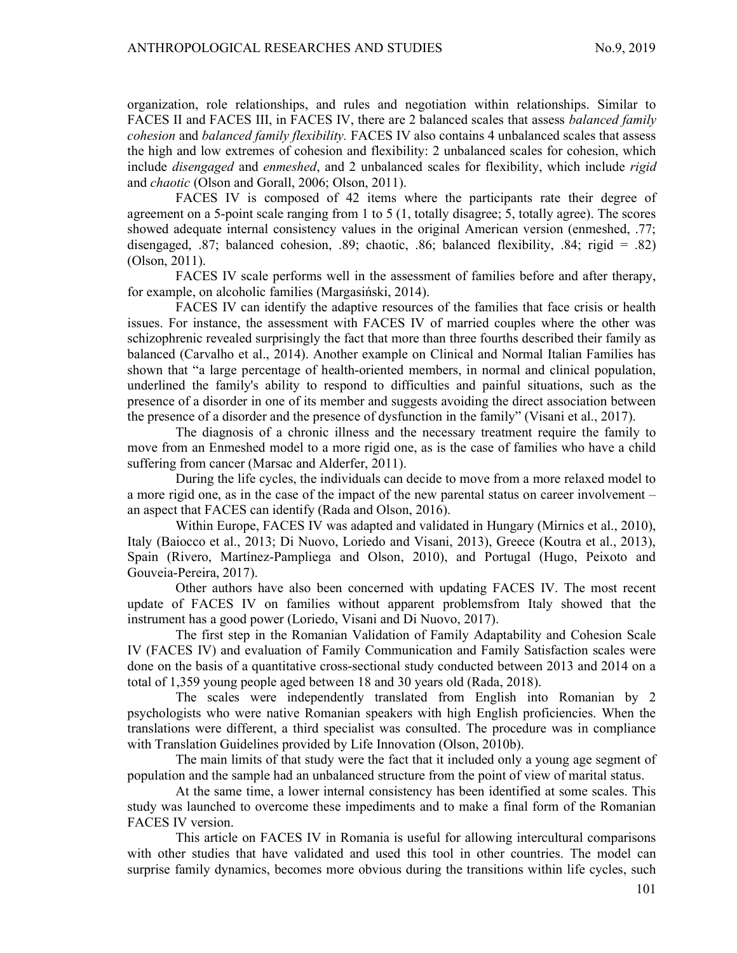organization, role relationships, and rules and negotiation within relationships. Similar to FACES II and FACES III, in FACES IV, there are 2 balanced scales that assess *balanced family* cohesion and balanced family flexibility. FACES IV also contains 4 unbalanced scales that assess the high and low extremes of cohesion and flexibility: 2 unbalanced scales for cohesion, which include *disengaged* and *enmeshed*, and 2 unbalanced scales for flexibility, which include *rigid* and chaotic (Olson and Gorall, 2006; Olson, 2011).

FACES IV is composed of 42 items where the participants rate their degree of agreement on a 5-point scale ranging from 1 to 5 (1, totally disagree; 5, totally agree). The scores showed adequate internal consistency values in the original American version (enmeshed, .77; disengaged, .87; balanced cohesion, .89; chaotic, .86; balanced flexibility, .84; rigid = .82) (Olson, 2011).

FACES IV scale performs well in the assessment of families before and after therapy, for example, on alcoholic families (Margasiński, 2014).

FACES IV can identify the adaptive resources of the families that face crisis or health issues. For instance, the assessment with FACES IV of married couples where the other was schizophrenic revealed surprisingly the fact that more than three fourths described their family as balanced (Carvalho et al., 2014). Another example on Clinical and Normal Italian Families has shown that "a large percentage of health-oriented members, in normal and clinical population, underlined the family's ability to respond to difficulties and painful situations, such as the presence of a disorder in one of its member and suggests avoiding the direct association between the presence of a disorder and the presence of dysfunction in the family" (Visani et al., 2017).

The diagnosis of a chronic illness and the necessary treatment require the family to move from an Enmeshed model to a more rigid one, as is the case of families who have a child suffering from cancer (Marsac and Alderfer, 2011).

During the life cycles, the individuals can decide to move from a more relaxed model to a more rigid one, as in the case of the impact of the new parental status on career involvement – an aspect that FACES can identify (Rada and Olson, 2016).

Within Europe, FACES IV was adapted and validated in Hungary (Mirnics et al., 2010), Italy (Baiocco et al., 2013; Di Nuovo, Loriedo and Visani, 2013), Greece (Koutra et al., 2013), Spain (Rivero, Martínez-Pampliega and Olson, 2010), and Portugal (Hugo, Peixoto and Gouveia-Pereira, 2017).

Other authors have also been concerned with updating FACES IV. The most recent update of FACES IV on families without apparent problemsfrom Italy showed that the instrument has a good power (Loriedo, Visani and Di Nuovo, 2017).

The first step in the Romanian Validation of Family Adaptability and Cohesion Scale IV (FACES IV) and evaluation of Family Communication and Family Satisfaction scales were done on the basis of a quantitative cross-sectional study conducted between 2013 and 2014 on a total of 1,359 young people aged between 18 and 30 years old (Rada, 2018).

The scales were independently translated from English into Romanian by 2 psychologists who were native Romanian speakers with high English proficiencies. When the translations were different, a third specialist was consulted. The procedure was in compliance with Translation Guidelines provided by Life Innovation (Olson, 2010b).

The main limits of that study were the fact that it included only a young age segment of population and the sample had an unbalanced structure from the point of view of marital status.

At the same time, a lower internal consistency has been identified at some scales. This study was launched to overcome these impediments and to make a final form of the Romanian FACES IV version.

This article on FACES IV in Romania is useful for allowing intercultural comparisons with other studies that have validated and used this tool in other countries. The model can surprise family dynamics, becomes more obvious during the transitions within life cycles, such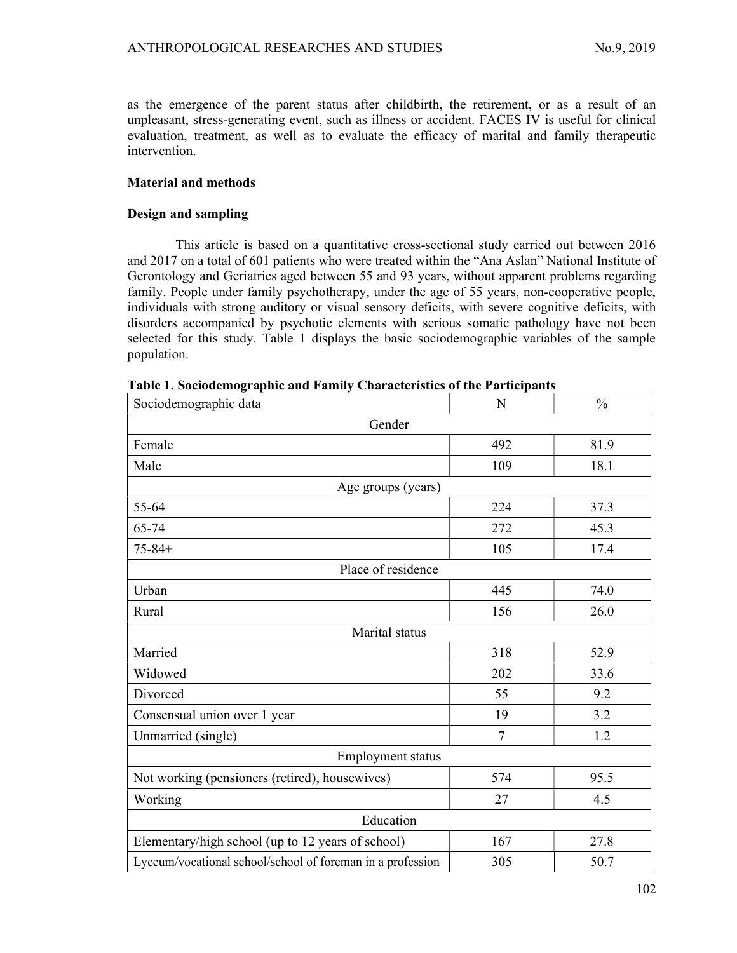as the emergence of the parent status after childbirth, the retirement, or as a result of an unpleasant, stress-generating event, such as illness or accident. FACES IV is useful for clinical evaluation, treatment, as well as to evaluate the efficacy of marital and family therapeutic intervention.

## Material and methods

### Design and sampling

This article is based on a quantitative cross-sectional study carried out between 2016 and 2017 on a total of 601 patients who were treated within the "Ana Aslan" National Institute of Gerontology and Geriatrics aged between 55 and 93 years, without apparent problems regarding family. People under family psychotherapy, under the age of 55 years, non-cooperative people, individuals with strong auditory or visual sensory deficits, with severe cognitive deficits, with disorders accompanied by psychotic elements with serious somatic pathology have not been selected for this study. Table 1 displays the basic sociodemographic variables of the sample population.

| Sociodemographic data                                      | N      | $\frac{0}{0}$ |  |  |  |  |  |  |  |
|------------------------------------------------------------|--------|---------------|--|--|--|--|--|--|--|
| Gender                                                     |        |               |  |  |  |  |  |  |  |
| Female                                                     | 492    | 81.9          |  |  |  |  |  |  |  |
| Male                                                       | 109    | 18.1          |  |  |  |  |  |  |  |
| Age groups (years)                                         |        |               |  |  |  |  |  |  |  |
| 55-64                                                      | 224    | 37.3          |  |  |  |  |  |  |  |
| 65-74                                                      | 272    | 45.3          |  |  |  |  |  |  |  |
| $75 - 84 +$                                                | 105    | 17.4          |  |  |  |  |  |  |  |
| Place of residence                                         |        |               |  |  |  |  |  |  |  |
| Urban                                                      | 445    | 74.0          |  |  |  |  |  |  |  |
| Rural                                                      | 156    | 26.0          |  |  |  |  |  |  |  |
| Marital status                                             |        |               |  |  |  |  |  |  |  |
| Married                                                    | 318    | 52.9          |  |  |  |  |  |  |  |
| Widowed                                                    | 202    | 33.6          |  |  |  |  |  |  |  |
| Divorced                                                   | 55     | 9.2           |  |  |  |  |  |  |  |
| Consensual union over 1 year                               | 19     | 3.2           |  |  |  |  |  |  |  |
| Unmarried (single)                                         | $\tau$ | 1.2           |  |  |  |  |  |  |  |
| Employment status                                          |        |               |  |  |  |  |  |  |  |
| Not working (pensioners (retired), housewives)             | 574    | 95.5          |  |  |  |  |  |  |  |
| Working                                                    | 27     | 4.5           |  |  |  |  |  |  |  |
| Education                                                  |        |               |  |  |  |  |  |  |  |
| Elementary/high school (up to 12 years of school)          | 167    | 27.8          |  |  |  |  |  |  |  |
| Lyceum/vocational school/school of foreman in a profession | 305    | 50.7          |  |  |  |  |  |  |  |

Table 1. Sociodemographic and Family Characteristics of the Participants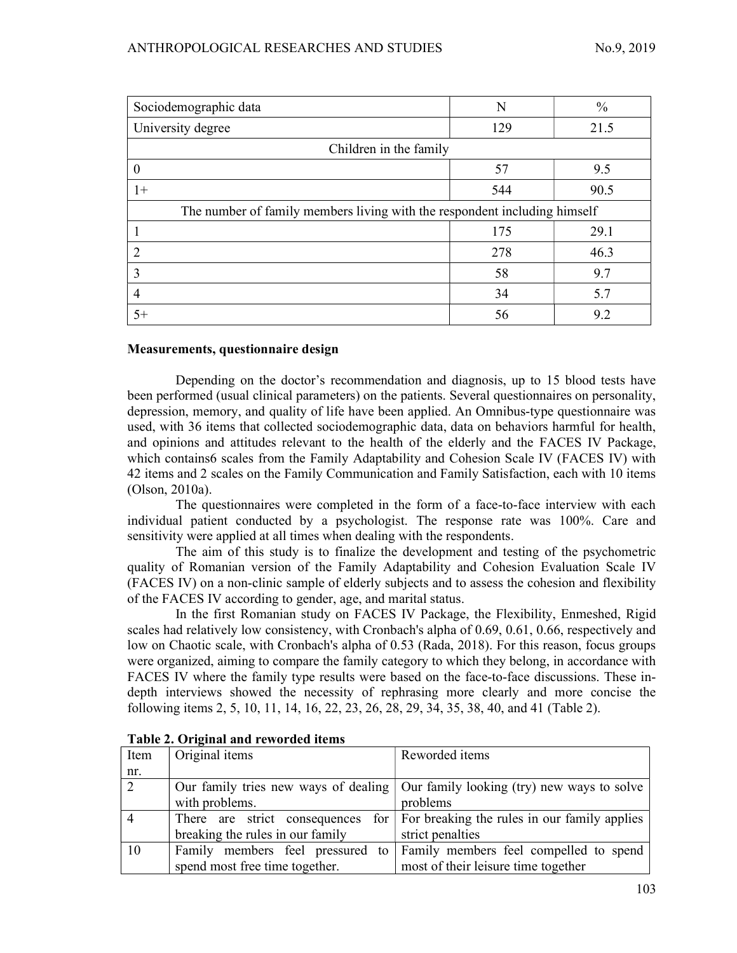| Sociodemographic data                                                     | N   | $\frac{0}{0}$ |  |  |  |  |  |
|---------------------------------------------------------------------------|-----|---------------|--|--|--|--|--|
| University degree                                                         | 129 | 21.5          |  |  |  |  |  |
| Children in the family                                                    |     |               |  |  |  |  |  |
| $\theta$                                                                  | 57  | 9.5           |  |  |  |  |  |
| $1+$                                                                      | 544 | 90.5          |  |  |  |  |  |
| The number of family members living with the respondent including himself |     |               |  |  |  |  |  |
|                                                                           | 175 | 29.1          |  |  |  |  |  |
| $\overline{2}$                                                            | 278 | 46.3          |  |  |  |  |  |
| 3                                                                         | 58  | 9.7           |  |  |  |  |  |
| $\overline{4}$                                                            | 34  | 5.7           |  |  |  |  |  |
| $5+$                                                                      | 56  | 9.2           |  |  |  |  |  |

## Measurements, questionnaire design

Depending on the doctor's recommendation and diagnosis, up to 15 blood tests have been performed (usual clinical parameters) on the patients. Several questionnaires on personality, depression, memory, and quality of life have been applied. An Omnibus-type questionnaire was used, with 36 items that collected sociodemographic data, data on behaviors harmful for health, and opinions and attitudes relevant to the health of the elderly and the FACES IV Package, which contains6 scales from the Family Adaptability and Cohesion Scale IV (FACES IV) with 42 items and 2 scales on the Family Communication and Family Satisfaction, each with 10 items (Olson, 2010a).

The questionnaires were completed in the form of a face-to-face interview with each individual patient conducted by a psychologist. The response rate was 100%. Care and sensitivity were applied at all times when dealing with the respondents.

The aim of this study is to finalize the development and testing of the psychometric quality of Romanian version of the Family Adaptability and Cohesion Evaluation Scale IV (FACES IV) on a non-clinic sample of elderly subjects and to assess the cohesion and flexibility of the FACES IV according to gender, age, and marital status.

In the first Romanian study on FACES IV Package, the Flexibility, Enmeshed, Rigid scales had relatively low consistency, with Cronbach's alpha of 0.69, 0.61, 0.66, respectively and low on Chaotic scale, with Cronbach's alpha of 0.53 (Rada, 2018). For this reason, focus groups were organized, aiming to compare the family category to which they belong, in accordance with FACES IV where the family type results were based on the face-to-face discussions. These indepth interviews showed the necessity of rephrasing more clearly and more concise the following items 2, 5, 10, 11, 14, 16, 22, 23, 26, 28, 29, 34, 35, 38, 40, and 41 (Table 2).

| Item           | Original items                   | Reworded items                                                                         |  |  |  |  |  |
|----------------|----------------------------------|----------------------------------------------------------------------------------------|--|--|--|--|--|
| nr.            |                                  |                                                                                        |  |  |  |  |  |
| $\overline{2}$ |                                  | Our family tries new ways of dealing   Our family looking (try) new ways to solve      |  |  |  |  |  |
|                | with problems.                   | problems                                                                               |  |  |  |  |  |
|                |                                  | There are strict consequences for $\vert$ For breaking the rules in our family applies |  |  |  |  |  |
|                | breaking the rules in our family | strict penalties                                                                       |  |  |  |  |  |
| 10             |                                  | Family members feel pressured to Family members feel compelled to spend                |  |  |  |  |  |
|                | spend most free time together.   | most of their leisure time together                                                    |  |  |  |  |  |

Table 2. Original and reworded items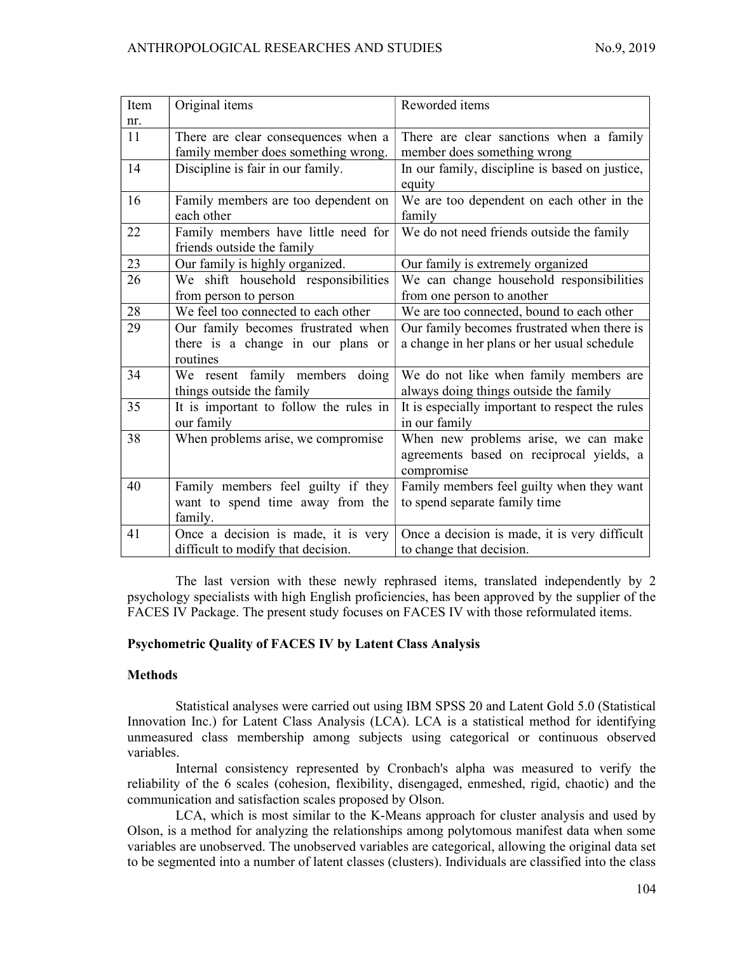| Item | Original items                         | Reworded items                                  |
|------|----------------------------------------|-------------------------------------------------|
| nr.  |                                        |                                                 |
| 11   | There are clear consequences when a    | There are clear sanctions when a family         |
|      | family member does something wrong.    | member does something wrong                     |
| 14   | Discipline is fair in our family.      | In our family, discipline is based on justice,  |
|      |                                        | equity                                          |
| 16   | Family members are too dependent on    | We are too dependent on each other in the       |
|      | each other                             | family                                          |
| 22   | Family members have little need for    | We do not need friends outside the family       |
|      | friends outside the family             |                                                 |
| 23   | Our family is highly organized.        | Our family is extremely organized               |
| 26   | We shift household responsibilities    | We can change household responsibilities        |
|      | from person to person                  | from one person to another                      |
| 28   | We feel too connected to each other    | We are too connected, bound to each other       |
| 29   | Our family becomes frustrated when     | Our family becomes frustrated when there is     |
|      | there is a change in our plans or      | a change in her plans or her usual schedule     |
|      | routines                               |                                                 |
| 34   | We resent family members doing         | We do not like when family members are          |
|      | things outside the family              | always doing things outside the family          |
| 35   | It is important to follow the rules in | It is especially important to respect the rules |
|      | our family                             | in our family                                   |
| 38   | When problems arise, we compromise     | When new problems arise, we can make            |
|      |                                        | agreements based on reciprocal yields, a        |
|      |                                        | compromise                                      |
| 40   | Family members feel guilty if they     | Family members feel guilty when they want       |
|      | want to spend time away from the       | to spend separate family time                   |
|      | family.                                |                                                 |
| 41   | Once a decision is made, it is very    | Once a decision is made, it is very difficult   |
|      | difficult to modify that decision.     | to change that decision.                        |

The last version with these newly rephrased items, translated independently by 2 psychology specialists with high English proficiencies, has been approved by the supplier of the FACES IV Package. The present study focuses on FACES IV with those reformulated items.

## Psychometric Quality of FACES IV by Latent Class Analysis

## Methods

Statistical analyses were carried out using IBM SPSS 20 and Latent Gold 5.0 (Statistical Innovation Inc.) for Latent Class Analysis (LCA). LCA is a statistical method for identifying unmeasured class membership among subjects using categorical or continuous observed variables.

Internal consistency represented by Cronbach's alpha was measured to verify the reliability of the 6 scales (cohesion, flexibility, disengaged, enmeshed, rigid, chaotic) and the communication and satisfaction scales proposed by Olson.

LCA, which is most similar to the K-Means approach for cluster analysis and used by Olson, is a method for analyzing the relationships among polytomous manifest data when some variables are unobserved. The unobserved variables are categorical, allowing the original data set to be segmented into a number of latent classes (clusters). Individuals are classified into the class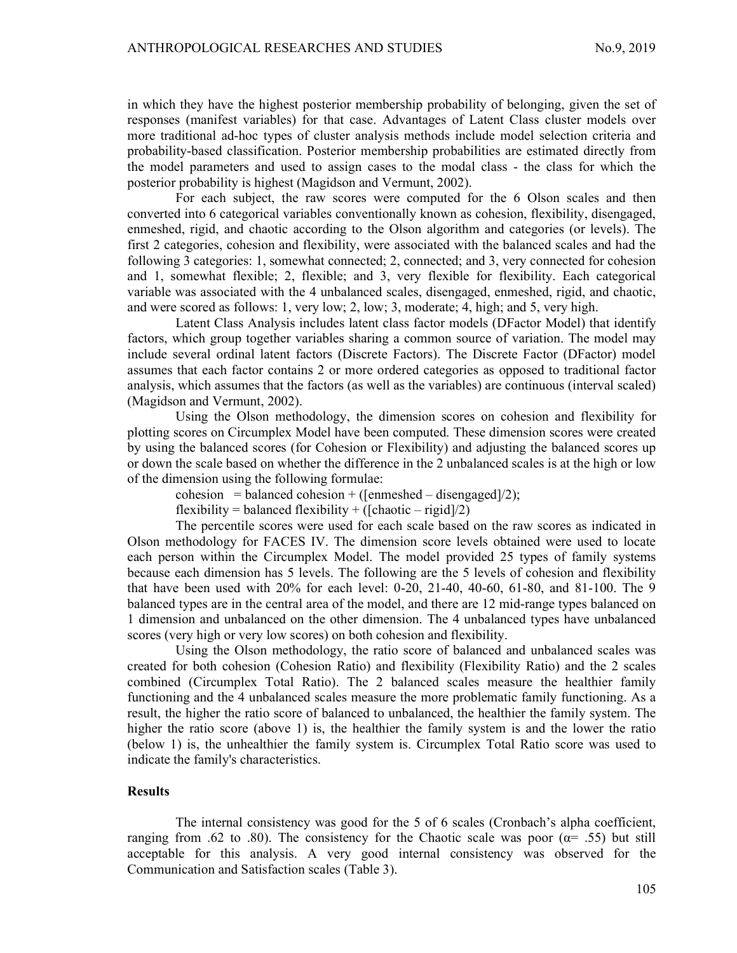in which they have the highest posterior membership probability of belonging, given the set of responses (manifest variables) for that case. Advantages of Latent Class cluster models over more traditional ad-hoc types of cluster analysis methods include model selection criteria and probability-based classification. Posterior membership probabilities are estimated directly from the model parameters and used to assign cases to the modal class - the class for which the posterior probability is highest (Magidson and Vermunt, 2002).

For each subject, the raw scores were computed for the 6 Olson scales and then converted into 6 categorical variables conventionally known as cohesion, flexibility, disengaged, enmeshed, rigid, and chaotic according to the Olson algorithm and categories (or levels). The first 2 categories, cohesion and flexibility, were associated with the balanced scales and had the following 3 categories: 1, somewhat connected; 2, connected; and 3, very connected for cohesion and 1, somewhat flexible; 2, flexible; and 3, very flexible for flexibility. Each categorical variable was associated with the 4 unbalanced scales, disengaged, enmeshed, rigid, and chaotic, and were scored as follows: 1, very low; 2, low; 3, moderate; 4, high; and 5, very high.

Latent Class Analysis includes latent class factor models (DFactor Model) that identify factors, which group together variables sharing a common source of variation. The model may include several ordinal latent factors (Discrete Factors). The Discrete Factor (DFactor) model assumes that each factor contains 2 or more ordered categories as opposed to traditional factor analysis, which assumes that the factors (as well as the variables) are continuous (interval scaled) (Magidson and Vermunt, 2002).

Using the Olson methodology, the dimension scores on cohesion and flexibility for plotting scores on Circumplex Model have been computed. These dimension scores were created by using the balanced scores (for Cohesion or Flexibility) and adjusting the balanced scores up or down the scale based on whether the difference in the 2 unbalanced scales is at the high or low of the dimension using the following formulae:

cohesion = balanced cohesion + ([enmeshed – disengaged]/2);

flexibility = balanced flexibility + ( $[chaotic - rigid]/2$ )

The percentile scores were used for each scale based on the raw scores as indicated in Olson methodology for FACES IV. The dimension score levels obtained were used to locate each person within the Circumplex Model. The model provided 25 types of family systems because each dimension has 5 levels. The following are the 5 levels of cohesion and flexibility that have been used with 20% for each level: 0-20, 21-40, 40-60, 61-80, and 81-100. The 9 balanced types are in the central area of the model, and there are 12 mid-range types balanced on 1 dimension and unbalanced on the other dimension. The 4 unbalanced types have unbalanced scores (very high or very low scores) on both cohesion and flexibility.

Using the Olson methodology, the ratio score of balanced and unbalanced scales was created for both cohesion (Cohesion Ratio) and flexibility (Flexibility Ratio) and the 2 scales combined (Circumplex Total Ratio). The 2 balanced scales measure the healthier family functioning and the 4 unbalanced scales measure the more problematic family functioning. As a result, the higher the ratio score of balanced to unbalanced, the healthier the family system. The higher the ratio score (above 1) is, the healthier the family system is and the lower the ratio (below 1) is, the unhealthier the family system is. Circumplex Total Ratio score was used to indicate the family's characteristics.

#### **Results**

The internal consistency was good for the 5 of 6 scales (Cronbach's alpha coefficient, ranging from .62 to .80). The consistency for the Chaotic scale was poor ( $\alpha$ = .55) but still acceptable for this analysis. A very good internal consistency was observed for the Communication and Satisfaction scales (Table 3).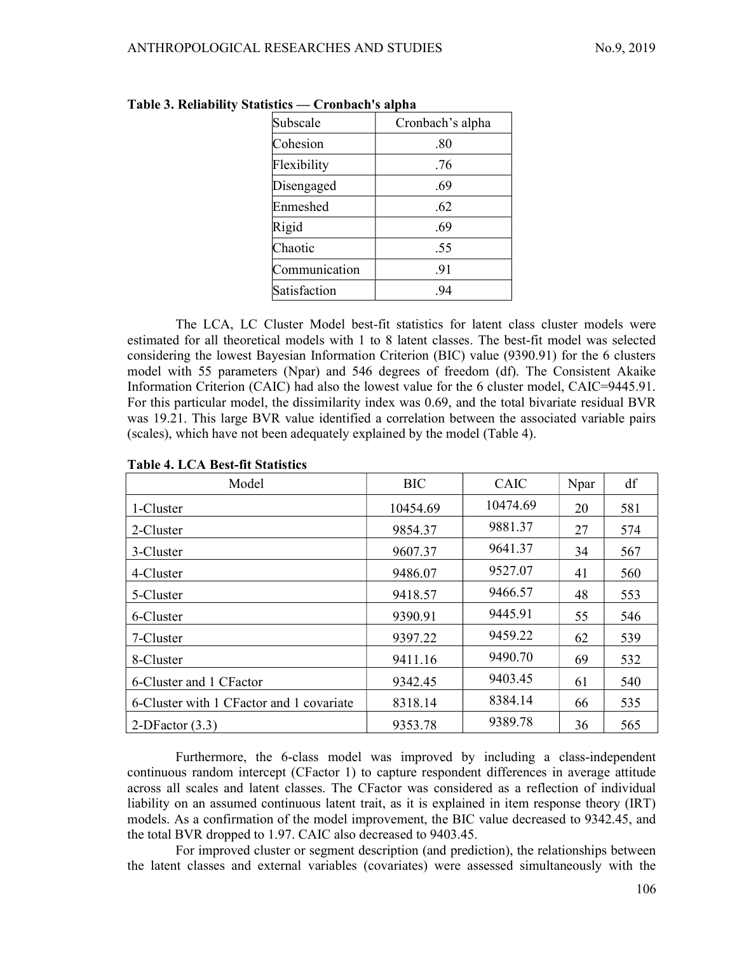| Subscale      | Cronbach's alpha |
|---------------|------------------|
| Cohesion      | .80              |
| Flexibility   | .76              |
| Disengaged    | .69              |
| Enmeshed      | .62              |
| Rigid         | .69              |
| Chaotic       | .55              |
| Communication | .91              |
| Satisfaction  | .94              |
|               |                  |

|  | Table 3. Reliability Statistics — Cronbach's alpha |
|--|----------------------------------------------------|
|  |                                                    |

The LCA, LC Cluster Model best-fit statistics for latent class cluster models were estimated for all theoretical models with 1 to 8 latent classes. The best-fit model was selected considering the lowest Bayesian Information Criterion (BIC) value (9390.91) for the 6 clusters model with 55 parameters (Npar) and 546 degrees of freedom (df). The Consistent Akaike Information Criterion (CAIC) had also the lowest value for the 6 cluster model, CAIC=9445.91. For this particular model, the dissimilarity index was 0.69, and the total bivariate residual BVR was 19.21. This large BVR value identified a correlation between the associated variable pairs (scales), which have not been adequately explained by the model (Table 4).

| Model                                     | <b>BIC</b> | <b>CAIC</b> | Npar | df  |
|-------------------------------------------|------------|-------------|------|-----|
| 1-Cluster                                 | 10454.69   | 10474.69    | 20   | 581 |
| 2-Cluster                                 | 9854.37    | 9881.37     | 27   | 574 |
| 3-Cluster                                 | 9607.37    | 9641.37     | 34   | 567 |
| 4-Cluster                                 | 9486.07    | 9527.07     | 41   | 560 |
| 5-Cluster                                 | 9418.57    | 9466.57     | 48   | 553 |
| 6-Cluster                                 | 9390.91    | 9445.91     | 55   | 546 |
| 7-Cluster                                 | 9397.22    | 9459.22     | 62   | 539 |
| 8-Cluster                                 | 9411.16    | 9490.70     | 69   | 532 |
| 6-Cluster and 1 CF actor                  | 9342.45    | 9403.45     | 61   | 540 |
| 6-Cluster with 1 CF actor and 1 covariate | 8318.14    | 8384.14     | 66   | 535 |
| 2-DF actor $(3.3)$                        | 9353.78    | 9389.78     | 36   | 565 |

#### Table 4. LCA Best-fit Statistics

Furthermore, the 6-class model was improved by including a class-independent continuous random intercept (CFactor 1) to capture respondent differences in average attitude across all scales and latent classes. The CFactor was considered as a reflection of individual liability on an assumed continuous latent trait, as it is explained in item response theory (IRT) models. As a confirmation of the model improvement, the BIC value decreased to 9342.45, and the total BVR dropped to 1.97. CAIC also decreased to 9403.45.

For improved cluster or segment description (and prediction), the relationships between the latent classes and external variables (covariates) were assessed simultaneously with the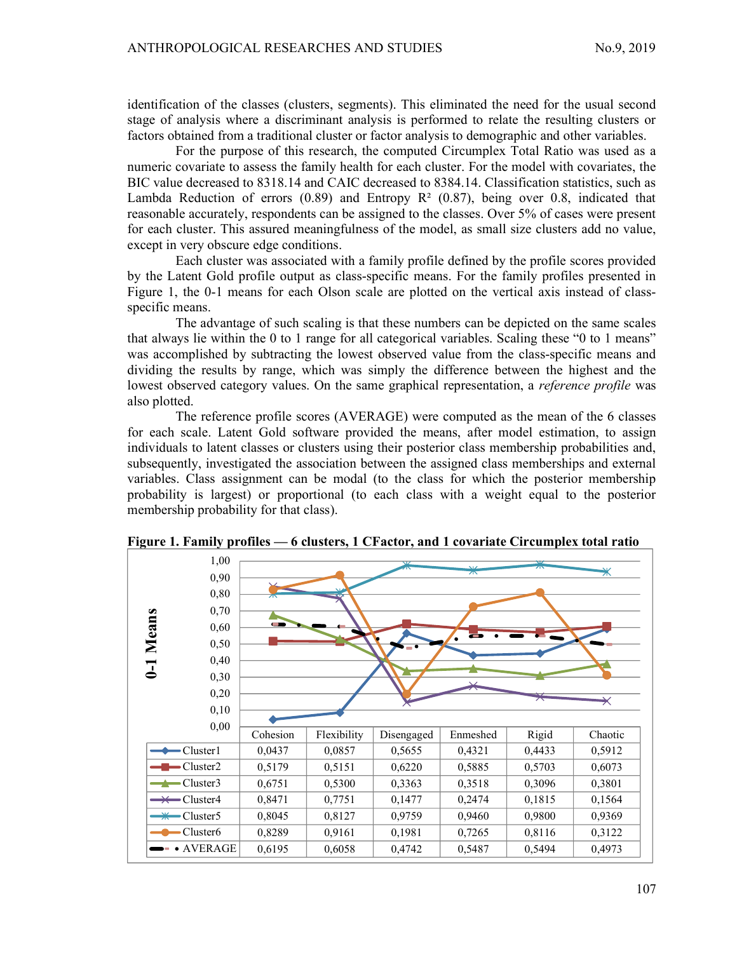identification of the classes (clusters, segments). This eliminated the need for the usual second stage of analysis where a discriminant analysis is performed to relate the resulting clusters or factors obtained from a traditional cluster or factor analysis to demographic and other variables.

For the purpose of this research, the computed Circumplex Total Ratio was used as a numeric covariate to assess the family health for each cluster. For the model with covariates, the BIC value decreased to 8318.14 and CAIC decreased to 8384.14. Classification statistics, such as Lambda Reduction of errors  $(0.89)$  and Entropy R<sup>2</sup>  $(0.87)$ , being over 0.8, indicated that reasonable accurately, respondents can be assigned to the classes. Over 5% of cases were present for each cluster. This assured meaningfulness of the model, as small size clusters add no value, except in very obscure edge conditions.

Each cluster was associated with a family profile defined by the profile scores provided by the Latent Gold profile output as class-specific means. For the family profiles presented in Figure 1, the 0-1 means for each Olson scale are plotted on the vertical axis instead of classspecific means.

The advantage of such scaling is that these numbers can be depicted on the same scales that always lie within the 0 to 1 range for all categorical variables. Scaling these "0 to 1 means" was accomplished by subtracting the lowest observed value from the class-specific means and dividing the results by range, which was simply the difference between the highest and the lowest observed category values. On the same graphical representation, a *reference profile* was also plotted.

The reference profile scores (AVERAGE) were computed as the mean of the 6 classes for each scale. Latent Gold software provided the means, after model estimation, to assign individuals to latent classes or clusters using their posterior class membership probabilities and, subsequently, investigated the association between the assigned class memberships and external variables. Class assignment can be modal (to the class for which the posterior membership probability is largest) or proportional (to each class with a weight equal to the posterior membership probability for that class).



Figure 1. Family profiles — 6 clusters, 1 CFactor, and 1 covariate Circumplex total ratio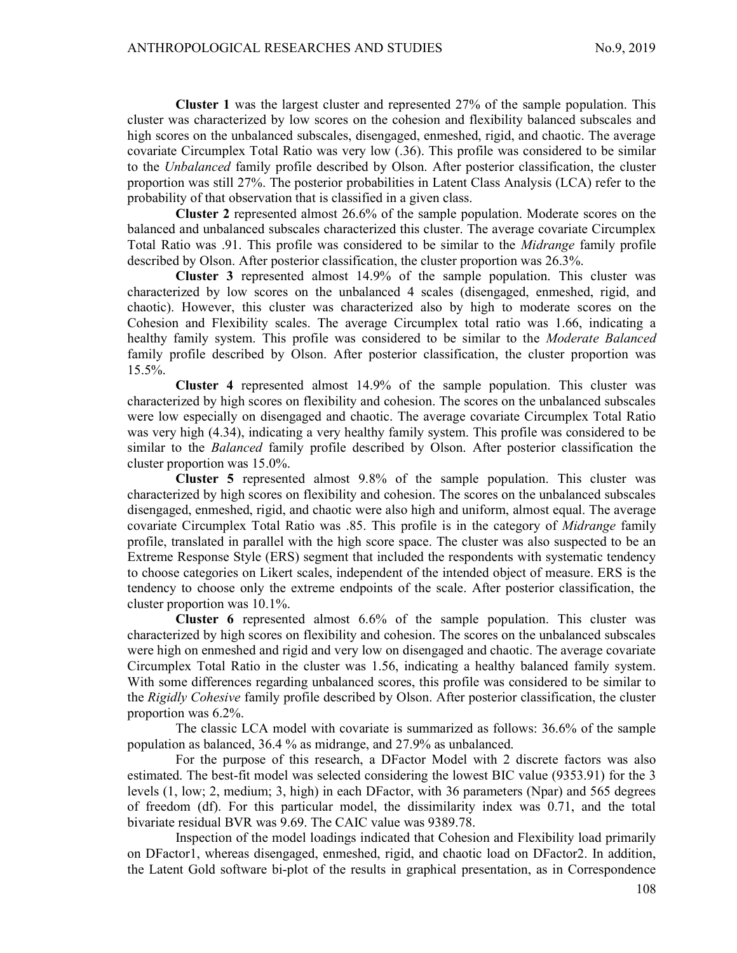Cluster 1 was the largest cluster and represented 27% of the sample population. This cluster was characterized by low scores on the cohesion and flexibility balanced subscales and high scores on the unbalanced subscales, disengaged, enmeshed, rigid, and chaotic. The average covariate Circumplex Total Ratio was very low (.36). This profile was considered to be similar to the *Unbalanced* family profile described by Olson. After posterior classification, the cluster proportion was still 27%. The posterior probabilities in Latent Class Analysis (LCA) refer to the probability of that observation that is classified in a given class.

Cluster 2 represented almost 26.6% of the sample population. Moderate scores on the balanced and unbalanced subscales characterized this cluster. The average covariate Circumplex Total Ratio was .91. This profile was considered to be similar to the Midrange family profile described by Olson. After posterior classification, the cluster proportion was 26.3%.

Cluster 3 represented almost 14.9% of the sample population. This cluster was characterized by low scores on the unbalanced 4 scales (disengaged, enmeshed, rigid, and chaotic). However, this cluster was characterized also by high to moderate scores on the Cohesion and Flexibility scales. The average Circumplex total ratio was 1.66, indicating a healthy family system. This profile was considered to be similar to the *Moderate Balanced* family profile described by Olson. After posterior classification, the cluster proportion was 15.5%.

Cluster 4 represented almost 14.9% of the sample population. This cluster was characterized by high scores on flexibility and cohesion. The scores on the unbalanced subscales were low especially on disengaged and chaotic. The average covariate Circumplex Total Ratio was very high (4.34), indicating a very healthy family system. This profile was considered to be similar to the *Balanced* family profile described by Olson. After posterior classification the cluster proportion was 15.0%.

Cluster 5 represented almost 9.8% of the sample population. This cluster was characterized by high scores on flexibility and cohesion. The scores on the unbalanced subscales disengaged, enmeshed, rigid, and chaotic were also high and uniform, almost equal. The average covariate Circumplex Total Ratio was .85. This profile is in the category of Midrange family profile, translated in parallel with the high score space. The cluster was also suspected to be an Extreme Response Style (ERS) segment that included the respondents with systematic tendency to choose categories on Likert scales, independent of the intended object of measure. ERS is the tendency to choose only the extreme endpoints of the scale. After posterior classification, the cluster proportion was 10.1%.

Cluster 6 represented almost 6.6% of the sample population. This cluster was characterized by high scores on flexibility and cohesion. The scores on the unbalanced subscales were high on enmeshed and rigid and very low on disengaged and chaotic. The average covariate Circumplex Total Ratio in the cluster was 1.56, indicating a healthy balanced family system. With some differences regarding unbalanced scores, this profile was considered to be similar to the Rigidly Cohesive family profile described by Olson. After posterior classification, the cluster proportion was 6.2%.

The classic LCA model with covariate is summarized as follows: 36.6% of the sample population as balanced, 36.4 % as midrange, and 27.9% as unbalanced.

For the purpose of this research, a DFactor Model with 2 discrete factors was also estimated. The best-fit model was selected considering the lowest BIC value (9353.91) for the 3 levels (1, low; 2, medium; 3, high) in each DFactor, with 36 parameters (Npar) and 565 degrees of freedom (df). For this particular model, the dissimilarity index was 0.71, and the total bivariate residual BVR was 9.69. The CAIC value was 9389.78.

Inspection of the model loadings indicated that Cohesion and Flexibility load primarily on DFactor1, whereas disengaged, enmeshed, rigid, and chaotic load on DFactor2. In addition, the Latent Gold software bi-plot of the results in graphical presentation, as in Correspondence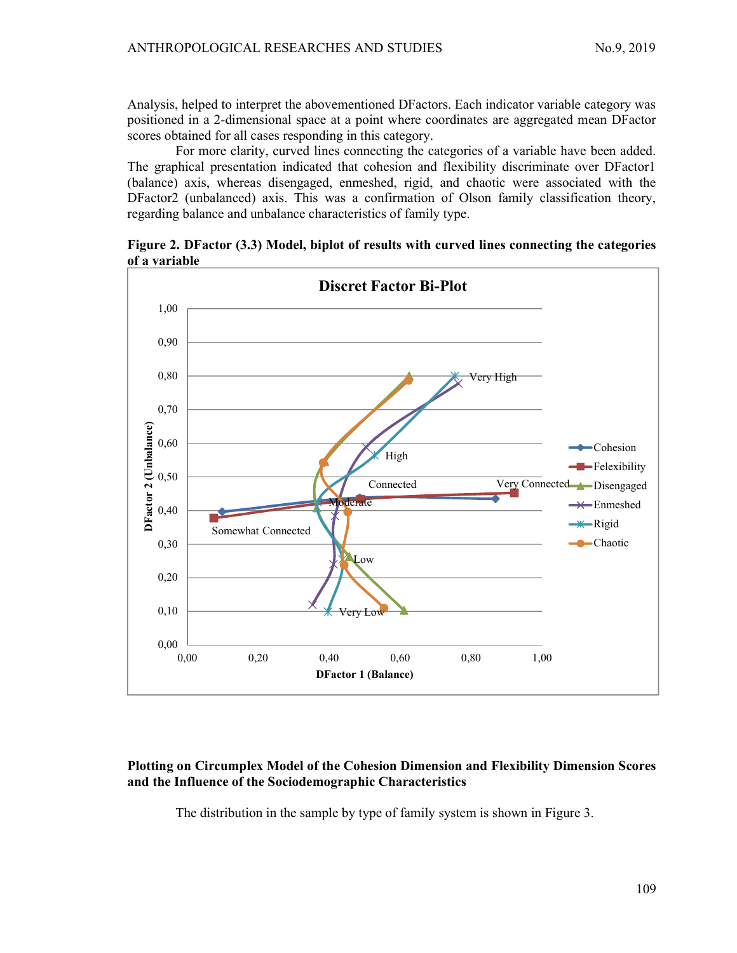Analysis, helped to interpret the abovementioned DFactors. Each indicator variable category was positioned in a 2-dimensional space at a point where coordinates are aggregated mean DFactor scores obtained for all cases responding in this category.

For more clarity, curved lines connecting the categories of a variable have been added. The graphical presentation indicated that cohesion and flexibility discriminate over DFactor1 (balance) axis, whereas disengaged, enmeshed, rigid, and chaotic were associated with the DFactor2 (unbalanced) axis. This was a confirmation of Olson family classification theory, regarding balance and unbalance characteristics of family type.

Figure 2. DFactor (3.3) Model, biplot of results with curved lines connecting the categories of a variable



## Plotting on Circumplex Model of the Cohesion Dimension and Flexibility Dimension Scores and the Influence of the Sociodemographic Characteristics

The distribution in the sample by type of family system is shown in Figure 3.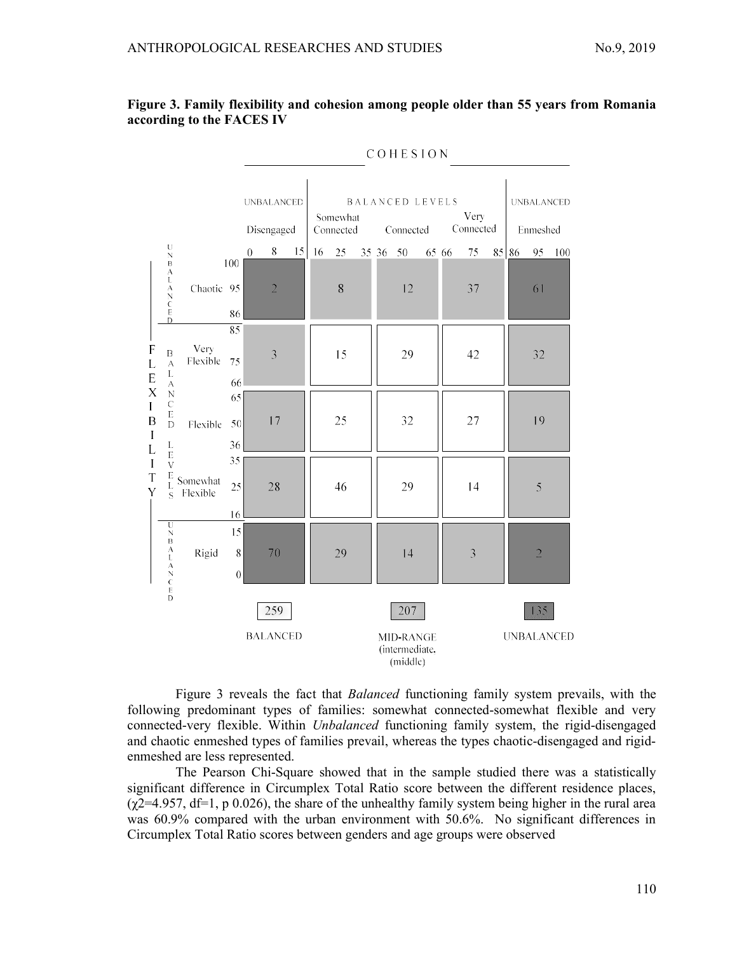

|                                                                                                                                                          |                                                                                                                                                                                                |                                    |                           | COHESION       |                                 |    |    |                       |       |  |                                                |       |  |                   |    |    |                               |                   |
|----------------------------------------------------------------------------------------------------------------------------------------------------------|------------------------------------------------------------------------------------------------------------------------------------------------------------------------------------------------|------------------------------------|---------------------------|----------------|---------------------------------|----|----|-----------------------|-------|--|------------------------------------------------|-------|--|-------------------|----|----|-------------------------------|-------------------|
|                                                                                                                                                          |                                                                                                                                                                                                |                                    |                           |                | <b>UNBALANCED</b><br>Disengaged |    |    | Somewhat<br>Connected |       |  | <b>BALANCED LEVELS</b><br>Connected            |       |  | Very<br>Connected |    |    | <b>UNBALANCED</b><br>Enmeshed |                   |
|                                                                                                                                                          | $\mathbf U$<br>$\mathbb N$<br>$\mathbf B$                                                                                                                                                      |                                    | 100                       | $\overline{0}$ | 8                               | 15 | 16 | 25                    | 35 36 |  | 50                                             | 65 66 |  | 75                | 85 | 86 | 95                            | 100               |
|                                                                                                                                                          | A<br>L<br>A<br>$\mathbb N$<br>$\mathbf C$<br>$\mathbf E$<br>D                                                                                                                                  | Chaotic 95                         | 86                        |                | $\overline{2}$                  |    |    | 8                     |       |  | 12                                             |       |  | 37                |    |    | 61                            |                   |
| $\boldsymbol{\mathrm{F}}$<br>$\mathbf{L}$<br>$\mathbf E$<br>$\mathbf X$<br>$\bf I$<br>$\, {\bf B}$<br>$\mathbf I$<br>L<br>$\bf I$<br>$\overline{T}$<br>Y | $\overline{B}$<br>$\overline{A}$<br>L<br>А<br>$\overline{\rm N}$<br>$\mathbf C$<br>$\mathbf E$<br>$\mathbf D$<br>L<br>$\overline{E}$<br>$\bar{\nabla}$<br>$^{\rm E}_{\rm L}$<br>$\overline{S}$ | 85<br>Very<br>Flexible<br>75<br>66 |                           |                | $\overline{3}$                  |    |    | 15                    |       |  | 29                                             |       |  | 42                |    |    | 32                            |                   |
|                                                                                                                                                          |                                                                                                                                                                                                | Flexible                           | 65<br>50<br>36            |                | 17                              |    |    | 25                    |       |  | 32                                             |       |  | 27                |    |    | 19                            |                   |
|                                                                                                                                                          |                                                                                                                                                                                                | Somewhat<br>Flexible               | 35<br>25<br>16            |                | 28                              |    |    | 46                    |       |  | 29                                             |       |  | 14                |    |    | 5                             |                   |
|                                                                                                                                                          | U<br>$\overline{N}$<br>$\bar{B}$<br>$_{\rm L}^{\rm A}$<br>A<br>$\mathbb N$<br>$\ddot{c}$                                                                                                       | Rigid                              | 15<br>$\bf 8$<br>$\theta$ |                | 70                              |    |    | 29                    |       |  | 14                                             |       |  | $\overline{3}$    |    |    | $\overline{2}$                |                   |
|                                                                                                                                                          | $\mathbf E$<br>$\mathbf D$                                                                                                                                                                     |                                    |                           |                | 259<br><b>BALANCED</b>          |    |    |                       |       |  | 207<br>MID-RANGE<br>(intermediate,<br>(middle) |       |  |                   |    |    | 135                           | <b>UNBALANCED</b> |

Figure 3 reveals the fact that Balanced functioning family system prevails, with the following predominant types of families: somewhat connected-somewhat flexible and very connected-very flexible. Within Unbalanced functioning family system, the rigid-disengaged and chaotic enmeshed types of families prevail, whereas the types chaotic-disengaged and rigidenmeshed are less represented.

The Pearson Chi-Square showed that in the sample studied there was a statistically significant difference in Circumplex Total Ratio score between the different residence places,  $(\gamma$ 2=4.957, df=1, p 0.026), the share of the unhealthy family system being higher in the rural area was 60.9% compared with the urban environment with 50.6%. No significant differences in Circumplex Total Ratio scores between genders and age groups were observed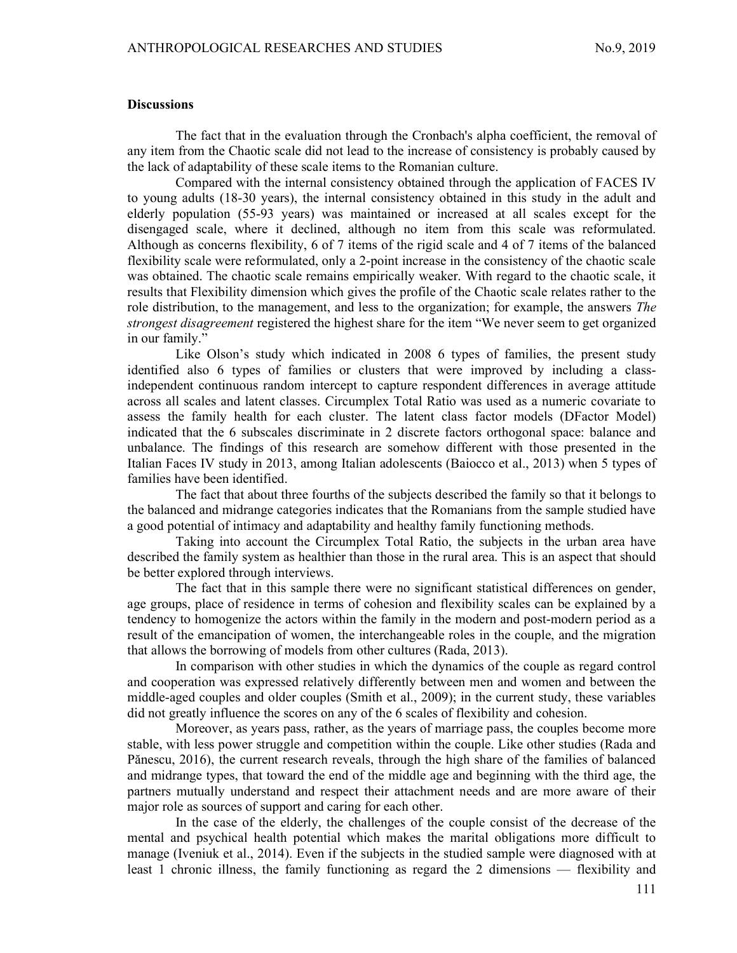#### **Discussions**

The fact that in the evaluation through the Cronbach's alpha coefficient, the removal of any item from the Chaotic scale did not lead to the increase of consistency is probably caused by the lack of adaptability of these scale items to the Romanian culture.

Compared with the internal consistency obtained through the application of FACES IV to young adults (18-30 years), the internal consistency obtained in this study in the adult and elderly population (55-93 years) was maintained or increased at all scales except for the disengaged scale, where it declined, although no item from this scale was reformulated. Although as concerns flexibility, 6 of 7 items of the rigid scale and 4 of 7 items of the balanced flexibility scale were reformulated, only a 2-point increase in the consistency of the chaotic scale was obtained. The chaotic scale remains empirically weaker. With regard to the chaotic scale, it results that Flexibility dimension which gives the profile of the Chaotic scale relates rather to the role distribution, to the management, and less to the organization; for example, the answers The strongest disagreement registered the highest share for the item "We never seem to get organized in our family."

Like Olson's study which indicated in 2008 6 types of families, the present study identified also 6 types of families or clusters that were improved by including a classindependent continuous random intercept to capture respondent differences in average attitude across all scales and latent classes. Circumplex Total Ratio was used as a numeric covariate to assess the family health for each cluster. The latent class factor models (DFactor Model) indicated that the 6 subscales discriminate in 2 discrete factors orthogonal space: balance and unbalance. The findings of this research are somehow different with those presented in the Italian Faces IV study in 2013, among Italian adolescents (Baiocco et al., 2013) when 5 types of families have been identified.

The fact that about three fourths of the subjects described the family so that it belongs to the balanced and midrange categories indicates that the Romanians from the sample studied have a good potential of intimacy and adaptability and healthy family functioning methods.

Taking into account the Circumplex Total Ratio, the subjects in the urban area have described the family system as healthier than those in the rural area. This is an aspect that should be better explored through interviews.

The fact that in this sample there were no significant statistical differences on gender, age groups, place of residence in terms of cohesion and flexibility scales can be explained by a tendency to homogenize the actors within the family in the modern and post-modern period as a result of the emancipation of women, the interchangeable roles in the couple, and the migration that allows the borrowing of models from other cultures (Rada, 2013).

In comparison with other studies in which the dynamics of the couple as regard control and cooperation was expressed relatively differently between men and women and between the middle-aged couples and older couples (Smith et al., 2009); in the current study, these variables did not greatly influence the scores on any of the 6 scales of flexibility and cohesion.

Moreover, as years pass, rather, as the years of marriage pass, the couples become more stable, with less power struggle and competition within the couple. Like other studies (Rada and Pănescu, 2016), the current research reveals, through the high share of the families of balanced and midrange types, that toward the end of the middle age and beginning with the third age, the partners mutually understand and respect their attachment needs and are more aware of their major role as sources of support and caring for each other.

In the case of the elderly, the challenges of the couple consist of the decrease of the mental and psychical health potential which makes the marital obligations more difficult to manage (Iveniuk et al., 2014). Even if the subjects in the studied sample were diagnosed with at least 1 chronic illness, the family functioning as regard the 2 dimensions — flexibility and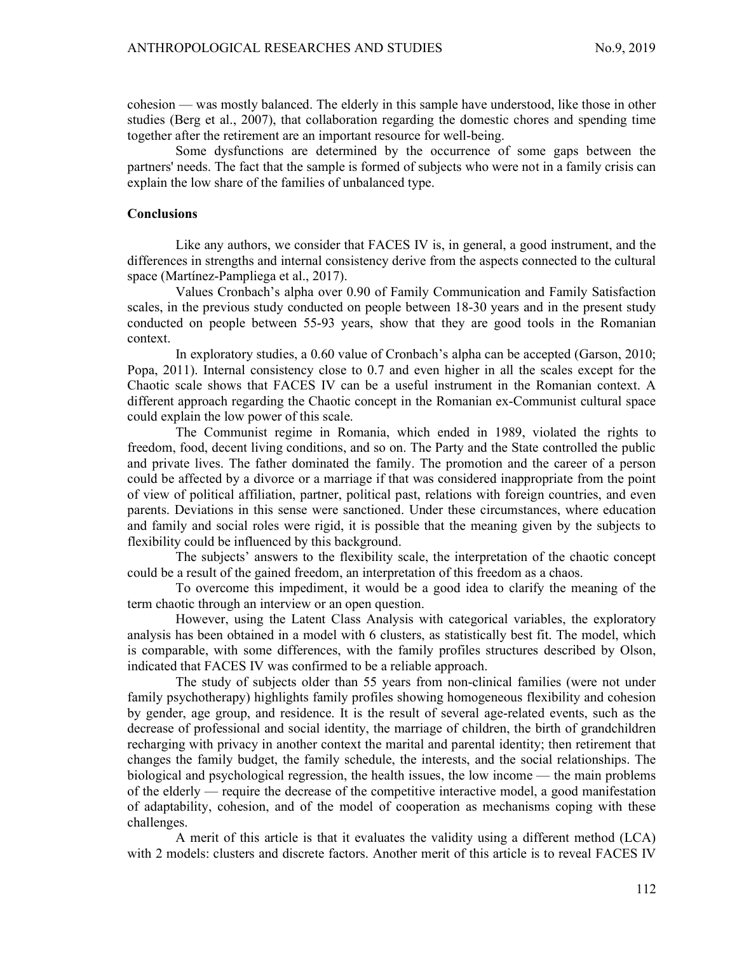cohesion — was mostly balanced. The elderly in this sample have understood, like those in other studies (Berg et al., 2007), that collaboration regarding the domestic chores and spending time together after the retirement are an important resource for well-being.

Some dysfunctions are determined by the occurrence of some gaps between the partners' needs. The fact that the sample is formed of subjects who were not in a family crisis can explain the low share of the families of unbalanced type.

### **Conclusions**

Like any authors, we consider that FACES IV is, in general, a good instrument, and the differences in strengths and internal consistency derive from the aspects connected to the cultural space (Martínez-Pampliega et al., 2017).

Values Cronbach's alpha over 0.90 of Family Communication and Family Satisfaction scales, in the previous study conducted on people between 18-30 years and in the present study conducted on people between 55-93 years, show that they are good tools in the Romanian context.

In exploratory studies, a 0.60 value of Cronbach's alpha can be accepted (Garson, 2010; Popa, 2011). Internal consistency close to 0.7 and even higher in all the scales except for the Chaotic scale shows that FACES IV can be a useful instrument in the Romanian context. A different approach regarding the Chaotic concept in the Romanian ex-Communist cultural space could explain the low power of this scale.

The Communist regime in Romania, which ended in 1989, violated the rights to freedom, food, decent living conditions, and so on. The Party and the State controlled the public and private lives. The father dominated the family. The promotion and the career of a person could be affected by a divorce or a marriage if that was considered inappropriate from the point of view of political affiliation, partner, political past, relations with foreign countries, and even parents. Deviations in this sense were sanctioned. Under these circumstances, where education and family and social roles were rigid, it is possible that the meaning given by the subjects to flexibility could be influenced by this background.

The subjects' answers to the flexibility scale, the interpretation of the chaotic concept could be a result of the gained freedom, an interpretation of this freedom as a chaos.

To overcome this impediment, it would be a good idea to clarify the meaning of the term chaotic through an interview or an open question.

However, using the Latent Class Analysis with categorical variables, the exploratory analysis has been obtained in a model with 6 clusters, as statistically best fit. The model, which is comparable, with some differences, with the family profiles structures described by Olson, indicated that FACES IV was confirmed to be a reliable approach.

The study of subjects older than 55 years from non-clinical families (were not under family psychotherapy) highlights family profiles showing homogeneous flexibility and cohesion by gender, age group, and residence. It is the result of several age-related events, such as the decrease of professional and social identity, the marriage of children, the birth of grandchildren recharging with privacy in another context the marital and parental identity; then retirement that changes the family budget, the family schedule, the interests, and the social relationships. The biological and psychological regression, the health issues, the low income — the main problems of the elderly — require the decrease of the competitive interactive model, a good manifestation of adaptability, cohesion, and of the model of cooperation as mechanisms coping with these challenges.

A merit of this article is that it evaluates the validity using a different method (LCA) with 2 models: clusters and discrete factors. Another merit of this article is to reveal FACES IV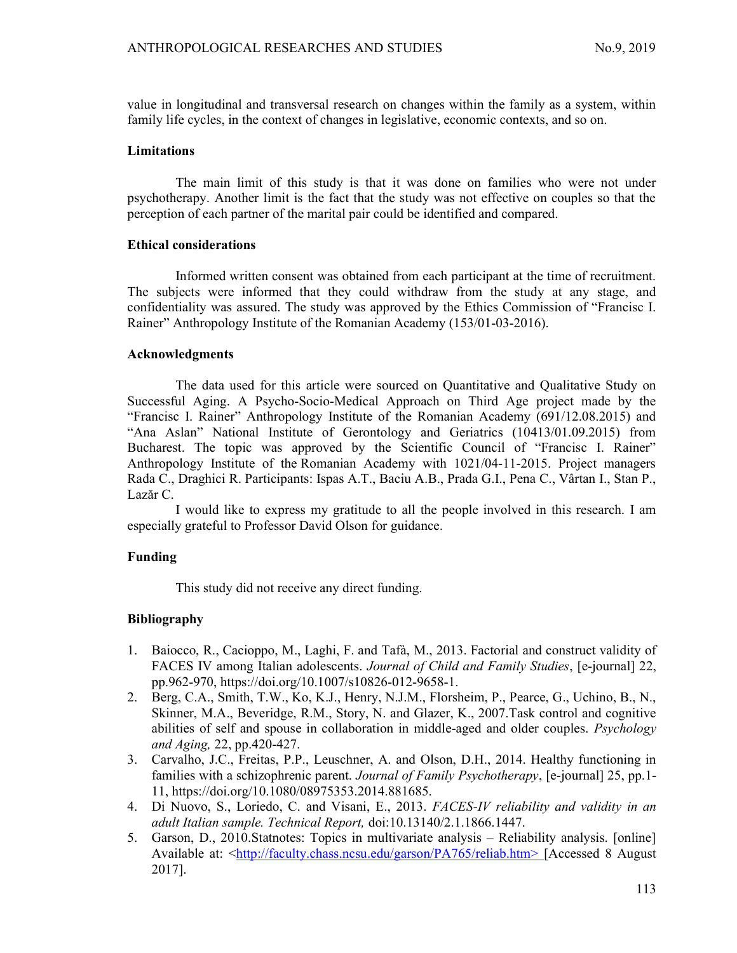value in longitudinal and transversal research on changes within the family as a system, within family life cycles, in the context of changes in legislative, economic contexts, and so on.

### **Limitations**

The main limit of this study is that it was done on families who were not under psychotherapy. Another limit is the fact that the study was not effective on couples so that the perception of each partner of the marital pair could be identified and compared.

## Ethical considerations

Informed written consent was obtained from each participant at the time of recruitment. The subjects were informed that they could withdraw from the study at any stage, and confidentiality was assured. The study was approved by the Ethics Commission of "Francisc I. Rainer" Anthropology Institute of the Romanian Academy (153/01-03-2016).

### Acknowledgments

The data used for this article were sourced on Quantitative and Qualitative Study on Successful Aging. A Psycho-Socio-Medical Approach on Third Age project made by the "Francisc I. Rainer" Anthropology Institute of the Romanian Academy (691/12.08.2015) and "Ana Aslan" National Institute of Gerontology and Geriatrics (10413/01.09.2015) from Bucharest. The topic was approved by the Scientific Council of "Francisc I. Rainer" Anthropology Institute of the Romanian Academy with 1021/04-11-2015. Project managers Rada C., Draghici R. Participants: Ispas A.T., Baciu A.B., Prada G.I., Pena C., Vârtan I., Stan P., Lazăr C.

I would like to express my gratitude to all the people involved in this research. I am especially grateful to Professor David Olson for guidance.

## Funding

This study did not receive any direct funding.

## Bibliography

- 1. Baiocco, R., Cacioppo, M., Laghi, F. and Tafà, M., 2013. Factorial and construct validity of FACES IV among Italian adolescents. Journal of Child and Family Studies, [e-journal] 22, pp.962-970, https://doi.org/10.1007/s10826-012-9658-1.
- 2. Berg, C.A., Smith, T.W., Ko, K.J., Henry, N.J.M., Florsheim, P., Pearce, G., Uchino, B., N., Skinner, M.A., Beveridge, R.M., Story, N. and Glazer, K., 2007.Task control and cognitive abilities of self and spouse in collaboration in middle-aged and older couples. Psychology and Aging, 22, pp.420-427.
- 3. Carvalho, J.C., Freitas, P.P., Leuschner, A. and Olson, D.H., 2014. Healthy functioning in families with a schizophrenic parent. Journal of Family Psychotherapy, [e-journal] 25, pp.1-11, https://doi.org/10.1080/08975353.2014.881685.
- 4. Di Nuovo, S., Loriedo, C. and Visani, E., 2013. FACES-IV reliability and validity in an adult Italian sample. Technical Report, doi:10.13140/2.1.1866.1447.
- 5. Garson, D., 2010.Statnotes: Topics in multivariate analysis Reliability analysis. [online] Available at: <http://faculty.chass.ncsu.edu/garson/PA765/reliab.htm> [Accessed 8 August] 2017].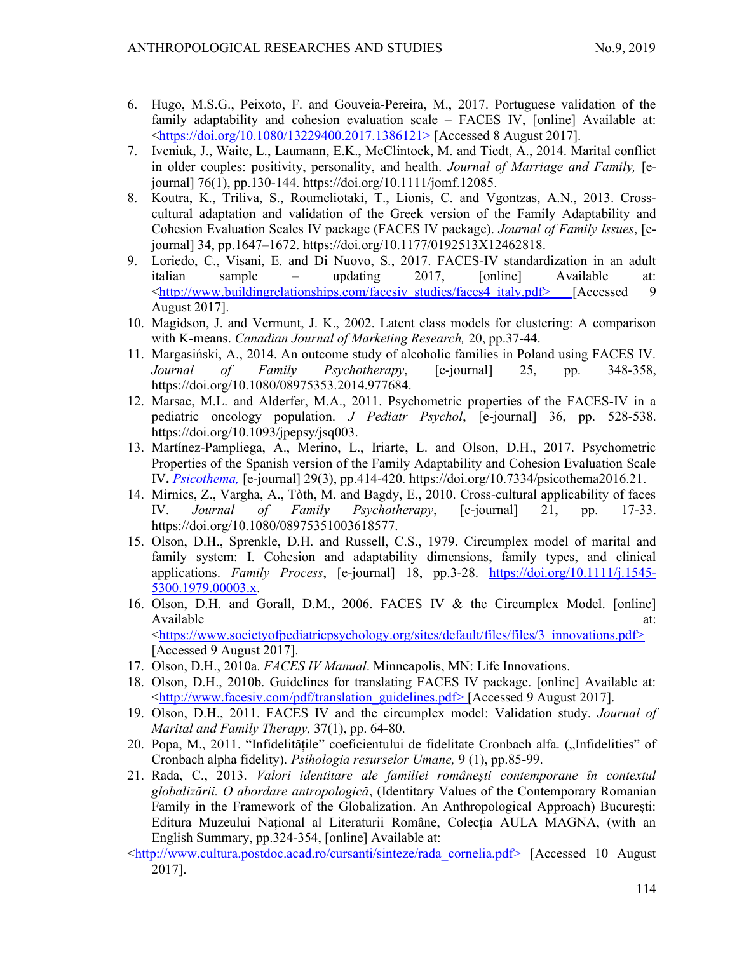- 6. Hugo, M.S.G., Peixoto, F. and Gouveia-Pereira, M., 2017. Portuguese validation of the family adaptability and cohesion evaluation scale – FACES IV, [online] Available at: <https://doi.org/10.1080/13229400.2017.1386121> [Accessed 8 August 2017].
- 7. Iveniuk, J., Waite, L., Laumann, E.K., McClintock, M. and Tiedt, A., 2014. Marital conflict in older couples: positivity, personality, and health. Journal of Marriage and Family, [ejournal] 76(1), pp.130-144. https://doi.org/10.1111/jomf.12085.
- 8. Koutra, K., Triliva, S., Roumeliotaki, T., Lionis, C. and Vgontzas, A.N., 2013. Crosscultural adaptation and validation of the Greek version of the Family Adaptability and Cohesion Evaluation Scales IV package (FACES IV package). Journal of Family Issues, [ejournal] 34, pp.1647–1672. https://doi.org/10.1177/0192513X12462818.
- 9. Loriedo, C., Visani, E. and Di Nuovo, S., 2017. FACES-IV standardization in an adult italian sample – updating 2017, [online] Available at: <http://www.buildingrelationships.com/facesiv\_studies/faces4\_italy.pdf> [Accessed 9] August 2017].
- 10. Magidson, J. and Vermunt, J. K., 2002. Latent class models for clustering: A comparison with K-means. Canadian Journal of Marketing Research, 20, pp.37-44.
- 11. Margasiński, A., 2014. An outcome study of alcoholic families in Poland using FACES IV. Journal of Family Psychotherapy, [e-journal] 25, pp. 348-358, https://doi.org/10.1080/08975353.2014.977684.
- 12. Marsac, M.L. and Alderfer, M.A., 2011. Psychometric properties of the FACES-IV in a pediatric oncology population. J Pediatr Psychol, [e-journal] 36, pp. 528-538. https://doi.org/10.1093/jpepsy/jsq003.
- 13. Martínez-Pampliega, A., Merino, L., Iriarte, L. and Olson, D.H., 2017. Psychometric Properties of the Spanish version of the Family Adaptability and Cohesion Evaluation Scale IV. Psicothema, [e-journal] 29(3), pp.414-420. https://doi.org/10.7334/psicothema2016.21.
- 14. Mirnics, Z., Vargha, A., Tòth, M. and Bagdy, E., 2010. Cross-cultural applicability of faces IV. Journal of Family Psychotherapy, [e-journal] 21, pp. 17-33. https://doi.org/10.1080/08975351003618577.
- 15. Olson, D.H., Sprenkle, D.H. and Russell, C.S., 1979. Circumplex model of marital and family system: I. Cohesion and adaptability dimensions, family types, and clinical applications. Family Process, [e-journal] 18, pp.3-28. https://doi.org/10.1111/j.1545- 5300.1979.00003.x.
- 16. Olson, D.H. and Gorall, D.M., 2006. FACES IV & the Circumplex Model. [online] Available at: <https://www.societyofpediatricpsychology.org/sites/default/files/files/3\_innovations.pdf> [Accessed 9 August 2017].
- 17. Olson, D.H., 2010a. FACES IV Manual. Minneapolis, MN: Life Innovations.
- 18. Olson, D.H., 2010b. Guidelines for translating FACES IV package. [online] Available at: <http://www.facesiv.com/pdf/translation\_guidelines.pdf> [Accessed 9 August 2017].
- 19. Olson, D.H., 2011. FACES IV and the circumplex model: Validation study. Journal of Marital and Family Therapy, 37(1), pp. 64-80.
- 20. Popa, M., 2011. "Infidelitățile" coeficientului de fidelitate Cronbach alfa. ("Infidelities" of Cronbach alpha fidelity). Psihologia resurselor Umane, 9 (1), pp.85-99.
- 21. Rada, C., 2013. Valori identitare ale familiei româneşti contemporane în contextul globalizării. O abordare antropologică, (Identitary Values of the Contemporary Romanian Family in the Framework of the Globalization. An Anthropological Approach) Bucureşti: Editura Muzeului Național al Literaturii Române, Colecția AULA MAGNA, (with an English Summary, pp.324-354, [online] Available at:
- <http://www.cultura.postdoc.acad.ro/cursanti/sinteze/rada\_cornelia.pdf> [Accessed 10 August 2017].